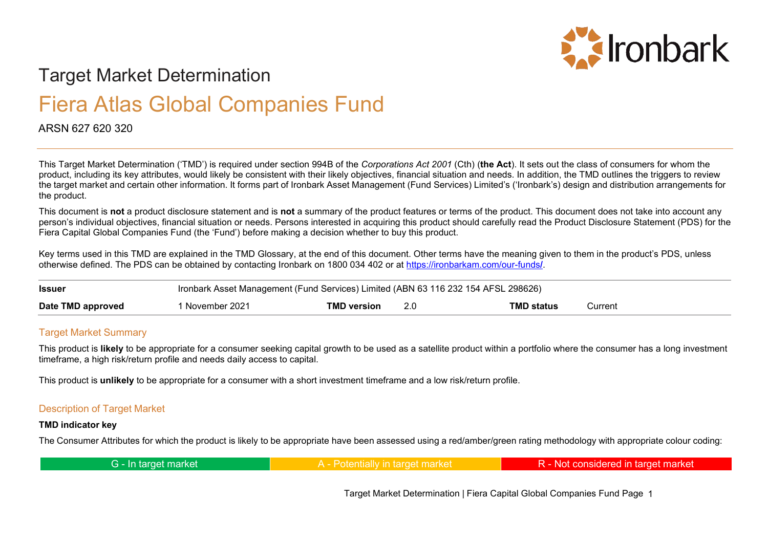

# Target Market Determination

# Fiera Atlas Global Companies Fund

# ARSN 627 620 320

This Target Market Determination ('TMD') is required under section 994B of the *Corporations Act 2001* (Cth) (**the Act**). It sets out the class of consumers for whom the product, including its key attributes, would likely be consistent with their likely objectives, financial situation and needs. In addition, the TMD outlines the triggers to review the target market and certain other information. It forms part of Ironbark Asset Management (Fund Services) Limited's ('Ironbark's) design and distribution arrangements for the product.

This document is **not** a product disclosure statement and is **not** a summary of the product features or terms of the product. This document does not take into account any person's individual objectives, financial situation or needs. Persons interested in acquiring this product should carefully read the Product Disclosure Statement (PDS) for the Fiera Capital Global Companies Fund (the 'Fund') before making a decision whether to buy this product.

Key terms used in this TMD are explained in the TMD Glossary, at the end of this document. Other terms have the meaning given to them in the product's PDS, unless otherwise defined. The PDS can be obtained by contacting Ironbark on 1800 034 402 or at [https://ironbarkam.com/our-funds](https://ironbarkam.com/our-funds/)**/**.

| <b>Issuer</b>     | Ironbark Asset Management (Fund Services) Limited (ABN 63 116 232 154 AFSL 298626) |                    |  |                   |         |
|-------------------|------------------------------------------------------------------------------------|--------------------|--|-------------------|---------|
| Date TMD approved | November 2021                                                                      | <b>TMD version</b> |  | <b>TMD status</b> | วurrent |

### Target Market Summary

This product is **likely** to be appropriate for a consumer seeking capital growth to be used as a satellite product within a portfolio where the consumer has a long investment timeframe, a high risk/return profile and needs daily access to capital.

This product is **unlikely** to be appropriate for a consumer with a short investment timeframe and a low risk/return profile.

#### Description of Target Market

#### **TMD indicator key**

The Consumer Attributes for which the product is likely to be appropriate have been assessed using a red/amber/green rating methodology with appropriate colour coding:

| G - In target market<br>A <b>Dotantially in target market</b> | R - Not considered in target market |
|---------------------------------------------------------------|-------------------------------------|
|---------------------------------------------------------------|-------------------------------------|

Target Market Determination | Fiera Capital Global Companies Fund Page 1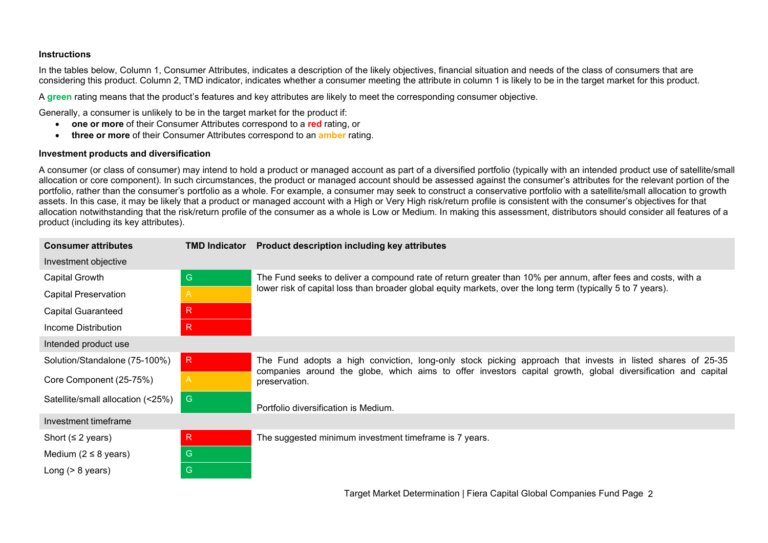#### **Instructions**

In the tables below, Column 1, Consumer Attributes, indicates a description of the likely objectives, financial situation and needs of the class of consumers that are considering this product. Column 2, TMD indicator, indicates whether a consumer meeting the attribute in column 1 is likely to be in the target market for this product.

A **green** rating means that the product's features and key attributes are likely to meet the corresponding consumer objective.

Generally, a consumer is unlikely to be in the target market for the product if:

- **one or more** of their Consumer Attributes correspond to a **red** rating, or
- **three or more** of their Consumer Attributes correspond to an **amber** rating.

#### **Investment products and diversification**

A consumer (or class of consumer) may intend to hold a product or managed account as part of a diversified portfolio (typically with an intended product use of satellite/small allocation or core component). In such circumstances, the product or managed account should be assessed against the consumer's attributes for the relevant portion of the portfolio, rather than the consumer's portfolio as a whole. For example, a consumer may seek to construct a conservative portfolio with a satellite/small allocation to growth assets. In this case, it may be likely that a product or managed account with a High or Very High risk/return profile is consistent with the consumer's objectives for that allocation notwithstanding that the risk/return profile of the consumer as a whole is Low or Medium. In making this assessment, distributors should consider all features of a product (including its key attributes).

| <b>Consumer attributes</b>        | <b>TMD Indicator</b> | Product description including key attributes                                                                                                                                                                               |  |
|-----------------------------------|----------------------|----------------------------------------------------------------------------------------------------------------------------------------------------------------------------------------------------------------------------|--|
| Investment objective              |                      |                                                                                                                                                                                                                            |  |
| Capital Growth                    | G                    | The Fund seeks to deliver a compound rate of return greater than 10% per annum, after fees and costs, with a                                                                                                               |  |
| <b>Capital Preservation</b>       | A                    | lower risk of capital loss than broader global equity markets, over the long term (typically 5 to 7 years).                                                                                                                |  |
| <b>Capital Guaranteed</b>         | $\mathsf{R}$         |                                                                                                                                                                                                                            |  |
| Income Distribution               | $\mathsf{R}$         |                                                                                                                                                                                                                            |  |
| Intended product use              |                      |                                                                                                                                                                                                                            |  |
| Solution/Standalone (75-100%)     | R                    | The Fund adopts a high conviction, long-only stock picking approach that invests in listed shares of 25-35<br>companies around the globe, which aims to offer investors capital growth, global diversification and capital |  |
| Core Component (25-75%)           | $\mathsf{A}$         | preservation.                                                                                                                                                                                                              |  |
| Satellite/small allocation (<25%) | G                    | Portfolio diversification is Medium.                                                                                                                                                                                       |  |
| Investment timeframe              |                      |                                                                                                                                                                                                                            |  |
| Short ( $\leq$ 2 years)           | R                    | The suggested minimum investment timeframe is 7 years.                                                                                                                                                                     |  |
| Medium ( $2 \leq 8$ years)        | G                    |                                                                                                                                                                                                                            |  |
| Long $(> 8$ years)                | G                    |                                                                                                                                                                                                                            |  |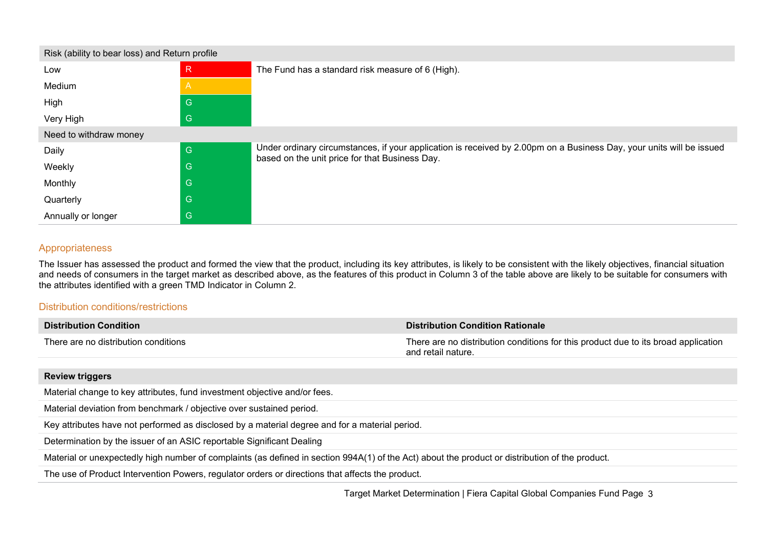| Risk (ability to bear loss) and Return profile |              |                                                                                                                                                                        |  |
|------------------------------------------------|--------------|------------------------------------------------------------------------------------------------------------------------------------------------------------------------|--|
| Low                                            | $\mathsf{R}$ | The Fund has a standard risk measure of 6 (High).                                                                                                                      |  |
| Medium                                         | $\mathsf{A}$ |                                                                                                                                                                        |  |
| High                                           | $\mathsf{G}$ |                                                                                                                                                                        |  |
| Very High                                      | G            |                                                                                                                                                                        |  |
| Need to withdraw money                         |              |                                                                                                                                                                        |  |
| Daily                                          | G            | Under ordinary circumstances, if your application is received by 2.00pm on a Business Day, your units will be issued<br>based on the unit price for that Business Day. |  |
| Weekly                                         | G            |                                                                                                                                                                        |  |
| Monthly                                        | G            |                                                                                                                                                                        |  |
| Quarterly                                      | G            |                                                                                                                                                                        |  |
| Annually or longer                             | G            |                                                                                                                                                                        |  |

## Appropriateness

The Issuer has assessed the product and formed the view that the product, including its key attributes, is likely to be consistent with the likely objectives, financial situation and needs of consumers in the target market as described above, as the features of this product in Column 3 of the table above are likely to be suitable for consumers with the attributes identified with a green TMD Indicator in Column 2.

#### Distribution conditions/restrictions

| <b>Distribution Condition</b>        | <b>Distribution Condition Rationale</b>                                                                  |
|--------------------------------------|----------------------------------------------------------------------------------------------------------|
| There are no distribution conditions | There are no distribution conditions for this product due to its broad application<br>and retail nature. |

### **Review triggers**

Material change to key attributes, fund investment objective and/or fees.

Material deviation from benchmark / objective over sustained period.

Key attributes have not performed as disclosed by a material degree and for a material period.

Determination by the issuer of an ASIC reportable Significant Dealing

Material or unexpectedly high number of complaints (as defined in section 994A(1) of the Act) about the product or distribution of the product.

The use of Product Intervention Powers, regulator orders or directions that affects the product.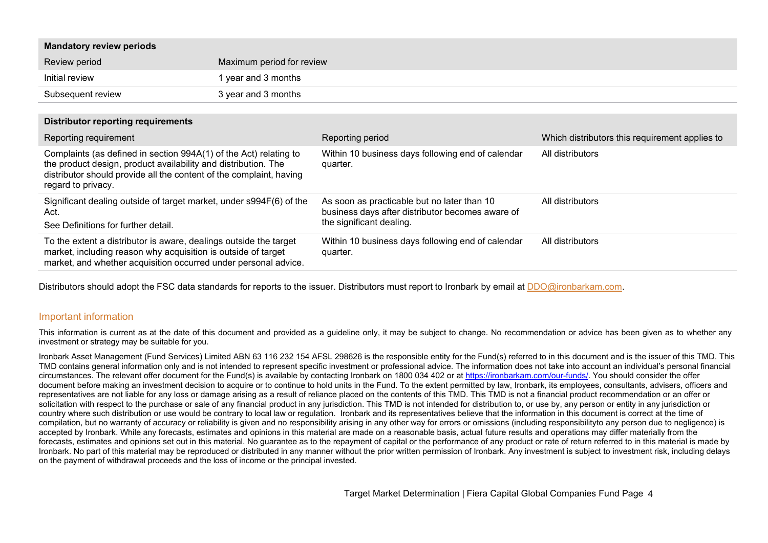| <b>Mandatory review periods</b>                                                                                                                                                                                                  |                           |                                                                                                                             |                                                |
|----------------------------------------------------------------------------------------------------------------------------------------------------------------------------------------------------------------------------------|---------------------------|-----------------------------------------------------------------------------------------------------------------------------|------------------------------------------------|
| Review period                                                                                                                                                                                                                    | Maximum period for review |                                                                                                                             |                                                |
| Initial review                                                                                                                                                                                                                   | 1 year and 3 months       |                                                                                                                             |                                                |
| Subsequent review                                                                                                                                                                                                                | 3 year and 3 months       |                                                                                                                             |                                                |
| <b>Distributor reporting requirements</b>                                                                                                                                                                                        |                           |                                                                                                                             |                                                |
| Reporting requirement                                                                                                                                                                                                            |                           | Reporting period                                                                                                            | Which distributors this requirement applies to |
| Complaints (as defined in section 994A(1) of the Act) relating to<br>the product design, product availability and distribution. The<br>distributor should provide all the content of the complaint, having<br>regard to privacy. |                           | Within 10 business days following end of calendar<br>quarter.                                                               | All distributors                               |
| Significant dealing outside of target market, under s994F(6) of the<br>Act.<br>See Definitions for further detail.                                                                                                               |                           | As soon as practicable but no later than 10<br>business days after distributor becomes aware of<br>the significant dealing. | All distributors                               |
| To the extent a distributor is aware, dealings outside the target<br>market, including reason why acquisition is outside of target<br>market, and whether acquisition occurred under personal advice.                            |                           | Within 10 business days following end of calendar<br>quarter.                                                               | All distributors                               |

Distributors should adopt the FSC data standards for reports to the issuer. Distributors must report to Ironbark by email at [DDO@ironbarkam.com.](mailto:DDO@ironbarkam.com)

#### Important information

This information is current as at the date of this document and provided as a quideline only, it may be subject to change. No recommendation or advice has been given as to whether any investment or strategy may be suitable for you.

Ironbark Asset Management (Fund Services) Limited ABN 63 116 232 154 AFSL 298626 is the responsible entity for the Fund(s) referred to in this document and is the issuer of this TMD. This TMD contains general information only and is not intended to represent specific investment or professional advice. The information does not take into account an individual's personal financial circumstances. The relevant offer document for the Fund(s) is available by contacting Ironbark on 1800 034 402 or at [https://ironbarkam.com/our-funds/.](https://ironbarkam.com/our-funds/) You should consider the offer document before making an investment decision to acquire or to continue to hold units in the Fund. To the extent permitted by law, Ironbark, its employees, consultants, advisers, officers and representatives are not liable for any loss or damage arising as a result of reliance placed on the contents of this TMD. This TMD is not a financial product recommendation or an offer or solicitation with respect to the purchase or sale of any financial product in any jurisdiction. This TMD is not intended for distribution to, or use by, any person or entity in any jurisdiction or country where such distribution or use would be contrary to local law or regulation. Ironbark and its representatives believe that the information in this document is correct at the time of compilation, but no warranty of accuracy or reliability is given and no responsibility arising in any other way for errors or omissions (including responsibilityto any person due to negligence) is accepted by Ironbark. While any forecasts, estimates and opinions in this material are made on a reasonable basis, actual future results and operations may differ materially from the forecasts, estimates and opinions set out in this material. No guarantee as to the repayment of capital or the performance of any product or rate of return referred to in this material is made by Ironbark. No part of this material may be reproduced or distributed in any manner without the prior written permission of Ironbark. Any investment is subject to investment risk, including delays on the payment of withdrawal proceeds and the loss of income or the principal invested.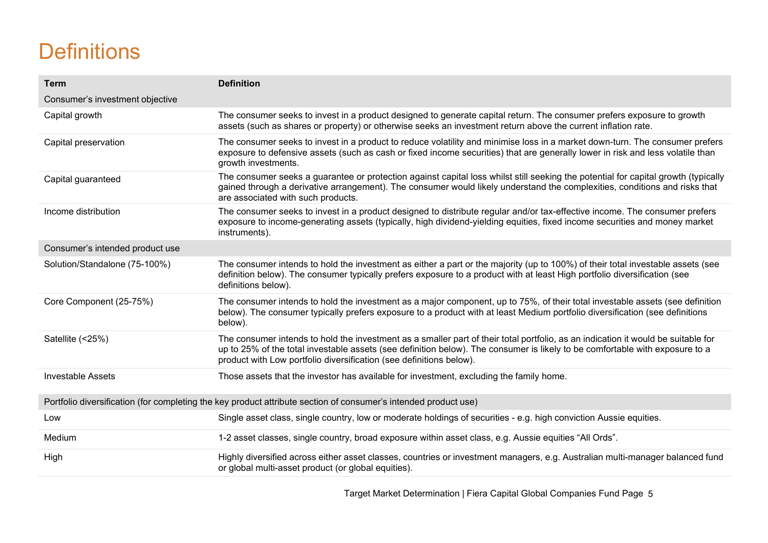# **Definitions**

| <b>Term</b>                                                                                                     | <b>Definition</b>                                                                                                                                                                                                                                                                                                                        |  |
|-----------------------------------------------------------------------------------------------------------------|------------------------------------------------------------------------------------------------------------------------------------------------------------------------------------------------------------------------------------------------------------------------------------------------------------------------------------------|--|
| Consumer's investment objective                                                                                 |                                                                                                                                                                                                                                                                                                                                          |  |
| Capital growth                                                                                                  | The consumer seeks to invest in a product designed to generate capital return. The consumer prefers exposure to growth<br>assets (such as shares or property) or otherwise seeks an investment return above the current inflation rate.                                                                                                  |  |
| Capital preservation                                                                                            | The consumer seeks to invest in a product to reduce volatility and minimise loss in a market down-turn. The consumer prefers<br>exposure to defensive assets (such as cash or fixed income securities) that are generally lower in risk and less volatile than<br>growth investments.                                                    |  |
| Capital guaranteed                                                                                              | The consumer seeks a guarantee or protection against capital loss whilst still seeking the potential for capital growth (typically<br>gained through a derivative arrangement). The consumer would likely understand the complexities, conditions and risks that<br>are associated with such products.                                   |  |
| Income distribution                                                                                             | The consumer seeks to invest in a product designed to distribute regular and/or tax-effective income. The consumer prefers<br>exposure to income-generating assets (typically, high dividend-yielding equities, fixed income securities and money market<br>instruments).                                                                |  |
| Consumer's intended product use                                                                                 |                                                                                                                                                                                                                                                                                                                                          |  |
| Solution/Standalone (75-100%)                                                                                   | The consumer intends to hold the investment as either a part or the majority (up to 100%) of their total investable assets (see<br>definition below). The consumer typically prefers exposure to a product with at least High portfolio diversification (see<br>definitions below).                                                      |  |
| Core Component (25-75%)                                                                                         | The consumer intends to hold the investment as a major component, up to 75%, of their total investable assets (see definition<br>below). The consumer typically prefers exposure to a product with at least Medium portfolio diversification (see definitions<br>below).                                                                 |  |
| Satellite (<25%)                                                                                                | The consumer intends to hold the investment as a smaller part of their total portfolio, as an indication it would be suitable for<br>up to 25% of the total investable assets (see definition below). The consumer is likely to be comfortable with exposure to a<br>product with Low portfolio diversification (see definitions below). |  |
| <b>Investable Assets</b>                                                                                        | Those assets that the investor has available for investment, excluding the family home.                                                                                                                                                                                                                                                  |  |
| Portfolio diversification (for completing the key product attribute section of consumer's intended product use) |                                                                                                                                                                                                                                                                                                                                          |  |
| Low                                                                                                             | Single asset class, single country, low or moderate holdings of securities - e.g. high conviction Aussie equities.                                                                                                                                                                                                                       |  |
| Medium                                                                                                          | 1-2 asset classes, single country, broad exposure within asset class, e.g. Aussie equities "All Ords".                                                                                                                                                                                                                                   |  |
| High                                                                                                            | Highly diversified across either asset classes, countries or investment managers, e.g. Australian multi-manager balanced fund<br>or global multi-asset product (or global equities).                                                                                                                                                     |  |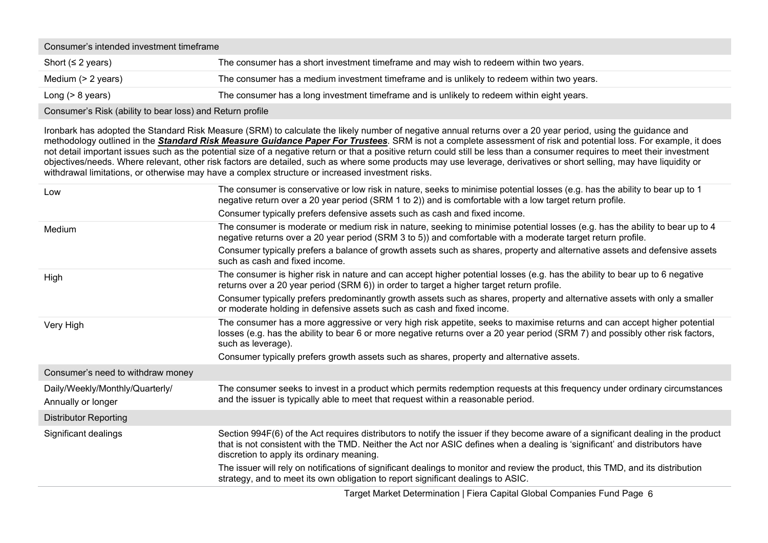| Consumer's intended investment timeframe |                                                                                            |  |
|------------------------------------------|--------------------------------------------------------------------------------------------|--|
| Short ( $\leq$ 2 years)                  | The consumer has a short investment timeframe and may wish to redeem within two years.     |  |
| Medium (> 2 years)                       | The consumer has a medium investment timeframe and is unlikely to redeem within two years. |  |
| Long $(> 8$ years)                       | The consumer has a long investment timeframe and is unlikely to redeem within eight years. |  |
|                                          |                                                                                            |  |

Consumer's Risk (ability to bear loss) and Return profile

Ironbark has adopted the Standard Risk Measure (SRM) to calculate the likely number of negative annual returns over a 20 year period, using the guidance and methodology outlined in the *Standard Risk Measure [Guidance](https://protect-eu.mimecast.com/s/pqPaCwVNmtGRQpvMFVpVgu?domain=urldefense.com) Paper For Trustees*. SRM is not a complete assessment of risk and potential loss. For example, it does not detail important issues such as the potential size of a negative return or that a positive return could still be less than a consumer requires to meet their investment objectives/needs. Where relevant, other risk factors are detailed, such as where some products may use leverage, derivatives or short selling, may have liquidity or withdrawal limitations, or otherwise may have a complex structure or increased investment risks.

| Low                                                   | The consumer is conservative or low risk in nature, seeks to minimise potential losses (e.g. has the ability to bear up to 1<br>negative return over a 20 year period (SRM 1 to 2)) and is comfortable with a low target return profile.                                                                       |
|-------------------------------------------------------|----------------------------------------------------------------------------------------------------------------------------------------------------------------------------------------------------------------------------------------------------------------------------------------------------------------|
|                                                       | Consumer typically prefers defensive assets such as cash and fixed income.                                                                                                                                                                                                                                     |
| Medium                                                | The consumer is moderate or medium risk in nature, seeking to minimise potential losses (e.g. has the ability to bear up to 4<br>negative returns over a 20 year period (SRM 3 to 5)) and comfortable with a moderate target return profile.                                                                   |
|                                                       | Consumer typically prefers a balance of growth assets such as shares, property and alternative assets and defensive assets<br>such as cash and fixed income.                                                                                                                                                   |
| High                                                  | The consumer is higher risk in nature and can accept higher potential losses (e.g. has the ability to bear up to 6 negative<br>returns over a 20 year period (SRM 6)) in order to target a higher target return profile.                                                                                       |
|                                                       | Consumer typically prefers predominantly growth assets such as shares, property and alternative assets with only a smaller<br>or moderate holding in defensive assets such as cash and fixed income.                                                                                                           |
| Very High                                             | The consumer has a more aggressive or very high risk appetite, seeks to maximise returns and can accept higher potential<br>losses (e.g. has the ability to bear 6 or more negative returns over a 20 year period (SRM 7) and possibly other risk factors,<br>such as leverage).                               |
|                                                       | Consumer typically prefers growth assets such as shares, property and alternative assets.                                                                                                                                                                                                                      |
| Consumer's need to withdraw money                     |                                                                                                                                                                                                                                                                                                                |
| Daily/Weekly/Monthly/Quarterly/<br>Annually or longer | The consumer seeks to invest in a product which permits redemption requests at this frequency under ordinary circumstances<br>and the issuer is typically able to meet that request within a reasonable period.                                                                                                |
| <b>Distributor Reporting</b>                          |                                                                                                                                                                                                                                                                                                                |
| Significant dealings                                  | Section 994F(6) of the Act requires distributors to notify the issuer if they become aware of a significant dealing in the product<br>that is not consistent with the TMD. Neither the Act nor ASIC defines when a dealing is 'significant' and distributors have<br>discretion to apply its ordinary meaning. |
|                                                       | The issuer will rely on notifications of significant dealings to monitor and review the product, this TMD, and its distribution<br>strategy, and to meet its own obligation to report significant dealings to ASIC.                                                                                            |

Target Market Determination | Fiera Capital Global Companies Fund Page 6